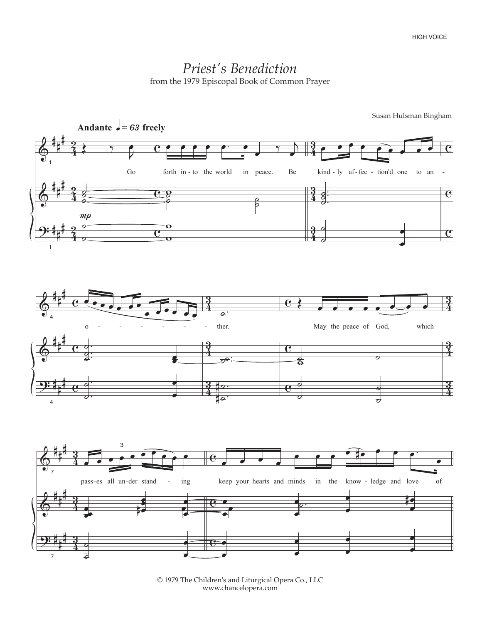## *Priest's Benediction* from the 1979 Episcopal Book of Common Prayer



© 1979 The Children's and Liturgical Opera Co., LLC www.chancelopera.com